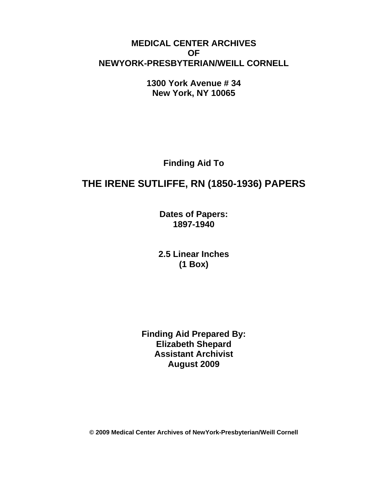## **MEDICAL CENTER ARCHIVES OF NEWYORK-PRESBYTERIAN/WEILL CORNELL**

**1300 York Avenue # 34 New York, NY 10065** 

**Finding Aid To** 

# **THE IRENE SUTLIFFE, RN (1850-1936) PAPERS**

**Dates of Papers: 1897-1940**

**2.5 Linear Inches (1 Box)** 

**Finding Aid Prepared By: Elizabeth Shepard Assistant Archivist August 2009** 

**© 2009 Medical Center Archives of NewYork-Presbyterian/Weill Cornell**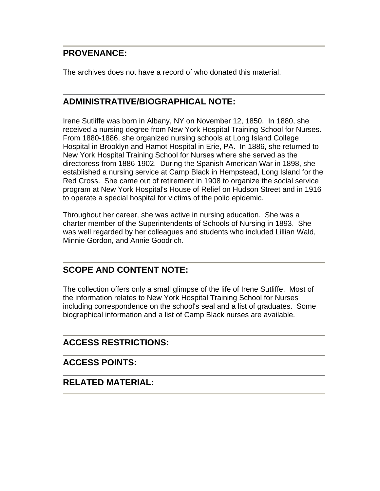## **PROVENANCE:**

The archives does not have a record of who donated this material.

# **ADMINISTRATIVE/BIOGRAPHICAL NOTE:**

Irene Sutliffe was born in Albany, NY on November 12, 1850. In 1880, she received a nursing degree from New York Hospital Training School for Nurses. From 1880-1886, she organized nursing schools at Long Island College Hospital in Brooklyn and Hamot Hospital in Erie, PA. In 1886, she returned to New York Hospital Training School for Nurses where she served as the directoress from 1886-1902. During the Spanish American War in 1898, she established a nursing service at Camp Black in Hempstead, Long Island for the Red Cross. She came out of retirement in 1908 to organize the social service program at New York Hospital's House of Relief on Hudson Street and in 1916 to operate a special hospital for victims of the polio epidemic.

Throughout her career, she was active in nursing education. She was a charter member of the Superintendents of Schools of Nursing in 1893. She was well regarded by her colleagues and students who included Lillian Wald, Minnie Gordon, and Annie Goodrich.

# **SCOPE AND CONTENT NOTE:**

The collection offers only a small glimpse of the life of Irene Sutliffe. Most of the information relates to New York Hospital Training School for Nurses including correspondence on the school's seal and a list of graduates. Some biographical information and a list of Camp Black nurses are available.

# **ACCESS RESTRICTIONS:**

### **ACCESS POINTS:**

### **RELATED MATERIAL:**